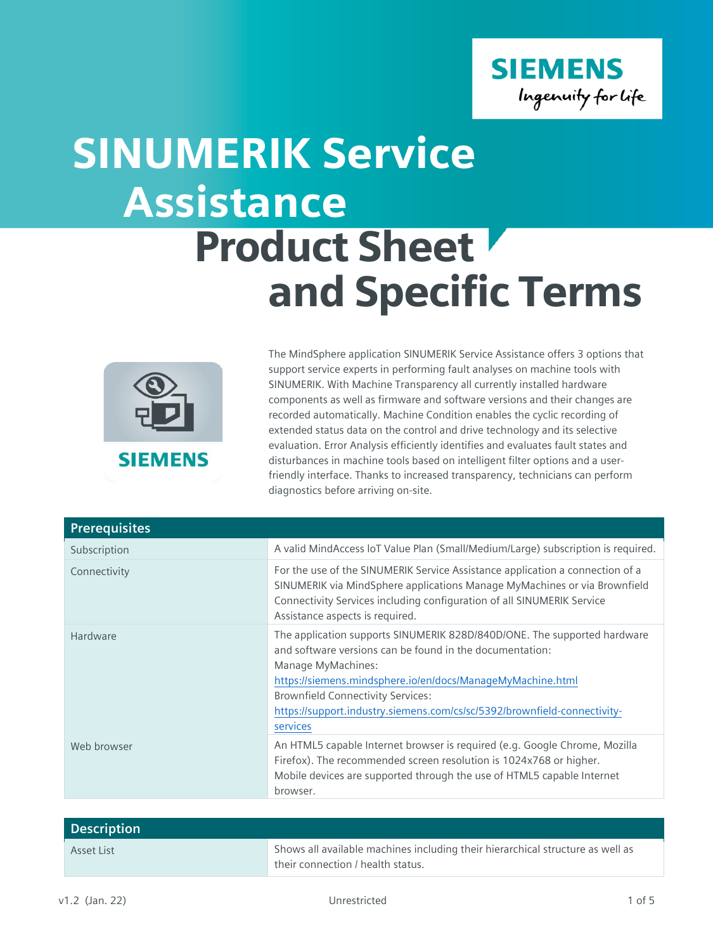

## Assistance Product Sheet and Specific Terms SINUMERIK Service



The MindSphere application SINUMERIK Service Assistance offers 3 options that support service experts in performing fault analyses on machine tools with SINUMERIK. With Machine Transparency all currently installed hardware components as well as firmware and software versions and their changes are recorded automatically. Machine Condition enables the cyclic recording of extended status data on the control and drive technology and its selective evaluation. Error Analysis efficiently identifies and evaluates fault states and disturbances in machine tools based on intelligent filter options and a userfriendly interface. Thanks to increased transparency, technicians can perform diagnostics before arriving on-site.

| <b>Prerequisites</b> |                                                                                                                                                                                                                                                                                                                                                              |
|----------------------|--------------------------------------------------------------------------------------------------------------------------------------------------------------------------------------------------------------------------------------------------------------------------------------------------------------------------------------------------------------|
| Subscription         | A valid MindAccess loT Value Plan (Small/Medium/Large) subscription is required.                                                                                                                                                                                                                                                                             |
| Connectivity         | For the use of the SINUMERIK Service Assistance application a connection of a<br>SINUMERIK via MindSphere applications Manage MyMachines or via Brownfield<br>Connectivity Services including configuration of all SINUMERIK Service<br>Assistance aspects is required.                                                                                      |
| Hardware             | The application supports SINUMERIK 828D/840D/ONE. The supported hardware<br>and software versions can be found in the documentation:<br>Manage MyMachines:<br>https://siemens.mindsphere.io/en/docs/ManageMyMachine.html<br><b>Brownfield Connectivity Services:</b><br>https://support.industry.siemens.com/cs/sc/5392/brownfield-connectivity-<br>services |
| Web browser          | An HTML5 capable Internet browser is required (e.g. Google Chrome, Mozilla<br>Firefox). The recommended screen resolution is 1024x768 or higher.<br>Mobile devices are supported through the use of HTML5 capable Internet<br>browser.                                                                                                                       |

| <b>Description</b> |                                                                                                                     |  |
|--------------------|---------------------------------------------------------------------------------------------------------------------|--|
| Asset List         | Shows all available machines including their hierarchical structure as well as<br>their connection / health status. |  |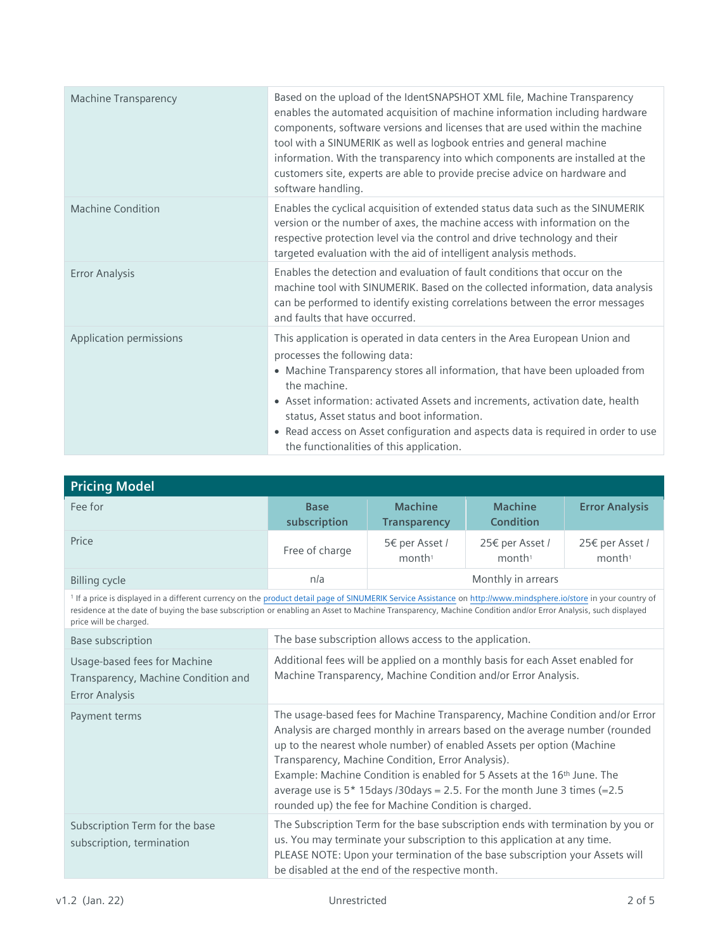| <b>Machine Transparency</b> | Based on the upload of the IdentSNAPSHOT XML file, Machine Transparency<br>enables the automated acquisition of machine information including hardware<br>components, software versions and licenses that are used within the machine<br>tool with a SINUMERIK as well as logbook entries and general machine<br>information. With the transparency into which components are installed at the<br>customers site, experts are able to provide precise advice on hardware and<br>software handling. |
|-----------------------------|----------------------------------------------------------------------------------------------------------------------------------------------------------------------------------------------------------------------------------------------------------------------------------------------------------------------------------------------------------------------------------------------------------------------------------------------------------------------------------------------------|
| <b>Machine Condition</b>    | Enables the cyclical acquisition of extended status data such as the SINUMERIK<br>version or the number of axes, the machine access with information on the<br>respective protection level via the control and drive technology and their<br>targeted evaluation with the aid of intelligent analysis methods.                                                                                                                                                                                     |
| <b>Error Analysis</b>       | Enables the detection and evaluation of fault conditions that occur on the<br>machine tool with SINUMERIK. Based on the collected information, data analysis<br>can be performed to identify existing correlations between the error messages<br>and faults that have occurred.                                                                                                                                                                                                                    |
| Application permissions     | This application is operated in data centers in the Area European Union and<br>processes the following data:<br>• Machine Transparency stores all information, that have been uploaded from<br>the machine.<br>• Asset information: activated Assets and increments, activation date, health<br>status, Asset status and boot information.<br>• Read access on Asset configuration and aspects data is required in order to use<br>the functionalities of this application.                        |

| <b>Pricing Model</b>                                                                                                                                                                                                                                                                                                                                                  |                                                                                                                                                                                                                                                                                                                                                                                                                                                                                                                             |                                       |                                       |                                       |
|-----------------------------------------------------------------------------------------------------------------------------------------------------------------------------------------------------------------------------------------------------------------------------------------------------------------------------------------------------------------------|-----------------------------------------------------------------------------------------------------------------------------------------------------------------------------------------------------------------------------------------------------------------------------------------------------------------------------------------------------------------------------------------------------------------------------------------------------------------------------------------------------------------------------|---------------------------------------|---------------------------------------|---------------------------------------|
| Fee for                                                                                                                                                                                                                                                                                                                                                               | <b>Base</b><br>subscription                                                                                                                                                                                                                                                                                                                                                                                                                                                                                                 | <b>Machine</b><br><b>Transparency</b> | <b>Machine</b><br><b>Condition</b>    | <b>Error Analysis</b>                 |
| Price                                                                                                                                                                                                                                                                                                                                                                 | Free of charge                                                                                                                                                                                                                                                                                                                                                                                                                                                                                                              | 5€ per Asset /<br>month <sup>1</sup>  | 25€ per Asset /<br>month <sup>1</sup> | 25€ per Asset /<br>month <sup>1</sup> |
| <b>Billing cycle</b>                                                                                                                                                                                                                                                                                                                                                  | Monthly in arrears<br>n/a                                                                                                                                                                                                                                                                                                                                                                                                                                                                                                   |                                       |                                       |                                       |
| <sup>1</sup> If a price is displayed in a different currency on the product detail page of SINUMERIK Service Assistance on http://www.mindsphere.io/store in your country of<br>residence at the date of buying the base subscription or enabling an Asset to Machine Transparency, Machine Condition and/or Error Analysis, such displayed<br>price will be charged. |                                                                                                                                                                                                                                                                                                                                                                                                                                                                                                                             |                                       |                                       |                                       |
| <b>Base subscription</b>                                                                                                                                                                                                                                                                                                                                              | The base subscription allows access to the application.                                                                                                                                                                                                                                                                                                                                                                                                                                                                     |                                       |                                       |                                       |
| Usage-based fees for Machine<br>Transparency, Machine Condition and<br><b>Error Analysis</b>                                                                                                                                                                                                                                                                          | Additional fees will be applied on a monthly basis for each Asset enabled for<br>Machine Transparency, Machine Condition and/or Error Analysis.                                                                                                                                                                                                                                                                                                                                                                             |                                       |                                       |                                       |
| Payment terms                                                                                                                                                                                                                                                                                                                                                         | The usage-based fees for Machine Transparency, Machine Condition and/or Error<br>Analysis are charged monthly in arrears based on the average number (rounded<br>up to the nearest whole number) of enabled Assets per option (Machine<br>Transparency, Machine Condition, Error Analysis).<br>Example: Machine Condition is enabled for 5 Assets at the 16 <sup>th</sup> June. The<br>average use is $5*15$ days /30days = 2.5. For the month June 3 times (= 2.5<br>rounded up) the fee for Machine Condition is charged. |                                       |                                       |                                       |
| Subscription Term for the base<br>subscription, termination                                                                                                                                                                                                                                                                                                           | The Subscription Term for the base subscription ends with termination by you or<br>us. You may terminate your subscription to this application at any time.<br>PLEASE NOTE: Upon your termination of the base subscription your Assets will<br>be disabled at the end of the respective month.                                                                                                                                                                                                                              |                                       |                                       |                                       |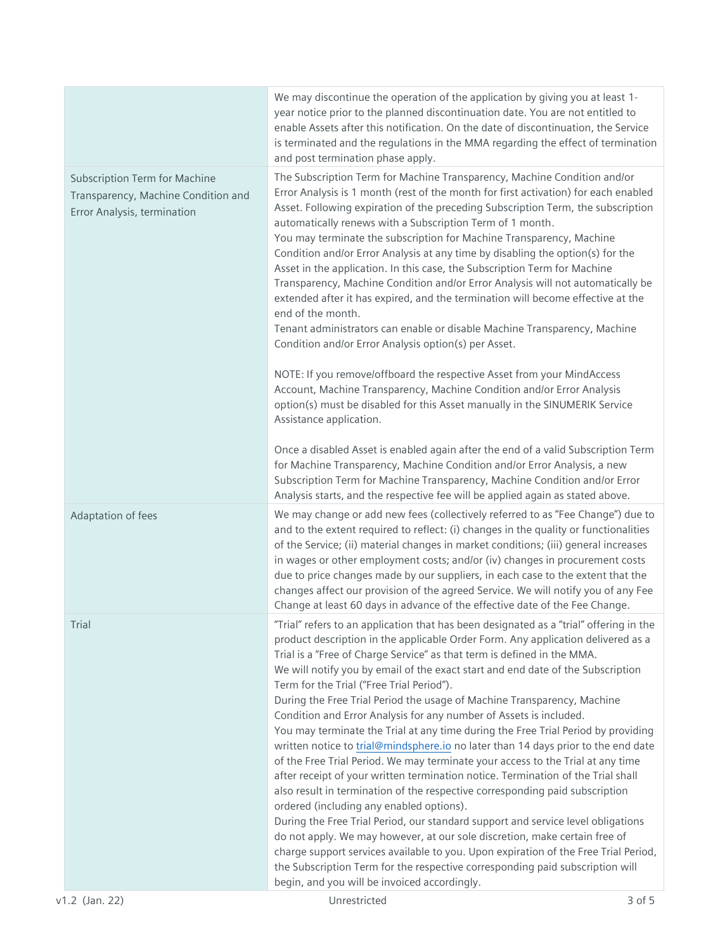|                                                                                                            | We may discontinue the operation of the application by giving you at least 1-<br>year notice prior to the planned discontinuation date. You are not entitled to<br>enable Assets after this notification. On the date of discontinuation, the Service<br>is terminated and the regulations in the MMA regarding the effect of termination<br>and post termination phase apply.                                                                                                                                                                                                                                                                                                                                                                                                                                                                                                                                                                                                                                                                                                                                                                                                                                                                                                                                                                                                                                |            |
|------------------------------------------------------------------------------------------------------------|---------------------------------------------------------------------------------------------------------------------------------------------------------------------------------------------------------------------------------------------------------------------------------------------------------------------------------------------------------------------------------------------------------------------------------------------------------------------------------------------------------------------------------------------------------------------------------------------------------------------------------------------------------------------------------------------------------------------------------------------------------------------------------------------------------------------------------------------------------------------------------------------------------------------------------------------------------------------------------------------------------------------------------------------------------------------------------------------------------------------------------------------------------------------------------------------------------------------------------------------------------------------------------------------------------------------------------------------------------------------------------------------------------------|------------|
| <b>Subscription Term for Machine</b><br>Transparency, Machine Condition and<br>Error Analysis, termination | The Subscription Term for Machine Transparency, Machine Condition and/or<br>Error Analysis is 1 month (rest of the month for first activation) for each enabled<br>Asset. Following expiration of the preceding Subscription Term, the subscription<br>automatically renews with a Subscription Term of 1 month.<br>You may terminate the subscription for Machine Transparency, Machine<br>Condition and/or Error Analysis at any time by disabling the option(s) for the<br>Asset in the application. In this case, the Subscription Term for Machine<br>Transparency, Machine Condition and/or Error Analysis will not automatically be<br>extended after it has expired, and the termination will become effective at the<br>end of the month.<br>Tenant administrators can enable or disable Machine Transparency, Machine<br>Condition and/or Error Analysis option(s) per Asset.<br>NOTE: If you remove/offboard the respective Asset from your MindAccess<br>Account, Machine Transparency, Machine Condition and/or Error Analysis<br>option(s) must be disabled for this Asset manually in the SINUMERIK Service<br>Assistance application.<br>Once a disabled Asset is enabled again after the end of a valid Subscription Term<br>for Machine Transparency, Machine Condition and/or Error Analysis, a new                                                                                        |            |
|                                                                                                            | Subscription Term for Machine Transparency, Machine Condition and/or Error<br>Analysis starts, and the respective fee will be applied again as stated above.                                                                                                                                                                                                                                                                                                                                                                                                                                                                                                                                                                                                                                                                                                                                                                                                                                                                                                                                                                                                                                                                                                                                                                                                                                                  |            |
| Adaptation of fees                                                                                         | We may change or add new fees (collectively referred to as "Fee Change") due to<br>and to the extent required to reflect: (i) changes in the quality or functionalities<br>of the Service; (ii) material changes in market conditions; (iii) general increases<br>in wages or other employment costs; and/or (iv) changes in procurement costs<br>due to price changes made by our suppliers, in each case to the extent that the<br>changes affect our provision of the agreed Service. We will notify you of any Fee<br>Change at least 60 days in advance of the effective date of the Fee Change.                                                                                                                                                                                                                                                                                                                                                                                                                                                                                                                                                                                                                                                                                                                                                                                                         |            |
| Trial                                                                                                      | "Trial" refers to an application that has been designated as a "trial" offering in the<br>product description in the applicable Order Form. Any application delivered as a<br>Trial is a "Free of Charge Service" as that term is defined in the MMA.<br>We will notify you by email of the exact start and end date of the Subscription<br>Term for the Trial ("Free Trial Period").<br>During the Free Trial Period the usage of Machine Transparency, Machine<br>Condition and Error Analysis for any number of Assets is included.<br>You may terminate the Trial at any time during the Free Trial Period by providing<br>written notice to trial@mindsphere.io no later than 14 days prior to the end date<br>of the Free Trial Period. We may terminate your access to the Trial at any time<br>after receipt of your written termination notice. Termination of the Trial shall<br>also result in termination of the respective corresponding paid subscription<br>ordered (including any enabled options).<br>During the Free Trial Period, our standard support and service level obligations<br>do not apply. We may however, at our sole discretion, make certain free of<br>charge support services available to you. Upon expiration of the Free Trial Period,<br>the Subscription Term for the respective corresponding paid subscription will<br>begin, and you will be invoiced accordingly. |            |
| v1.2 (Jan. 22)                                                                                             | Unrestricted                                                                                                                                                                                                                                                                                                                                                                                                                                                                                                                                                                                                                                                                                                                                                                                                                                                                                                                                                                                                                                                                                                                                                                                                                                                                                                                                                                                                  | $3$ of $5$ |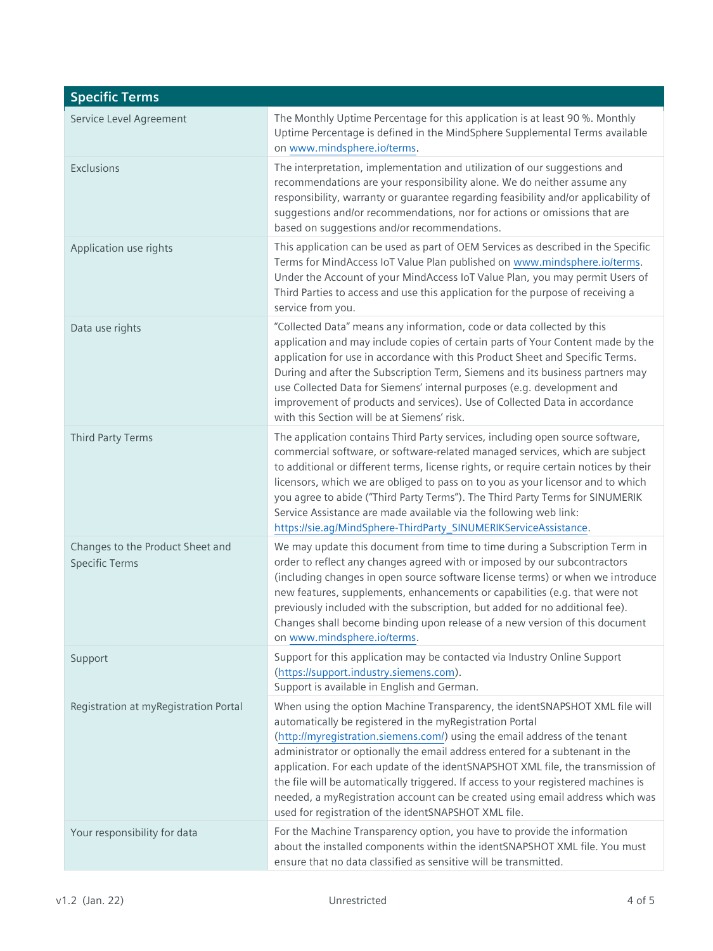| <b>Specific Terms</b>                                     |                                                                                                                                                                                                                                                                                                                                                                                                                                                                                                                                                                                                                         |
|-----------------------------------------------------------|-------------------------------------------------------------------------------------------------------------------------------------------------------------------------------------------------------------------------------------------------------------------------------------------------------------------------------------------------------------------------------------------------------------------------------------------------------------------------------------------------------------------------------------------------------------------------------------------------------------------------|
| Service Level Agreement                                   | The Monthly Uptime Percentage for this application is at least 90 %. Monthly<br>Uptime Percentage is defined in the MindSphere Supplemental Terms available<br>on www.mindsphere.io/terms.                                                                                                                                                                                                                                                                                                                                                                                                                              |
| Exclusions                                                | The interpretation, implementation and utilization of our suggestions and<br>recommendations are your responsibility alone. We do neither assume any<br>responsibility, warranty or guarantee regarding feasibility and/or applicability of<br>suggestions and/or recommendations, nor for actions or omissions that are<br>based on suggestions and/or recommendations.                                                                                                                                                                                                                                                |
| Application use rights                                    | This application can be used as part of OEM Services as described in the Specific<br>Terms for MindAccess IoT Value Plan published on www.mindsphere.io/terms.<br>Under the Account of your MindAccess IoT Value Plan, you may permit Users of<br>Third Parties to access and use this application for the purpose of receiving a<br>service from you.                                                                                                                                                                                                                                                                  |
| Data use rights                                           | "Collected Data" means any information, code or data collected by this<br>application and may include copies of certain parts of Your Content made by the<br>application for use in accordance with this Product Sheet and Specific Terms.<br>During and after the Subscription Term, Siemens and its business partners may<br>use Collected Data for Siemens' internal purposes (e.g. development and<br>improvement of products and services). Use of Collected Data in accordance<br>with this Section will be at Siemens' risk.                                                                                     |
| <b>Third Party Terms</b>                                  | The application contains Third Party services, including open source software,<br>commercial software, or software-related managed services, which are subject<br>to additional or different terms, license rights, or require certain notices by their<br>licensors, which we are obliged to pass on to you as your licensor and to which<br>you agree to abide ("Third Party Terms"). The Third Party Terms for SINUMERIK<br>Service Assistance are made available via the following web link:<br>https://sie.ag/MindSphere-ThirdParty_SINUMERIKServiceAssistance.                                                    |
| Changes to the Product Sheet and<br><b>Specific Terms</b> | We may update this document from time to time during a Subscription Term in<br>order to reflect any changes agreed with or imposed by our subcontractors<br>(including changes in open source software license terms) or when we introduce<br>new features, supplements, enhancements or capabilities (e.g. that were not<br>previously included with the subscription, but added for no additional fee).<br>Changes shall become binding upon release of a new version of this document<br>on www.mindsphere.io/terms.                                                                                                 |
| Support                                                   | Support for this application may be contacted via Industry Online Support<br>(https://support.industry.siemens.com).<br>Support is available in English and German.                                                                                                                                                                                                                                                                                                                                                                                                                                                     |
| Registration at myRegistration Portal                     | When using the option Machine Transparency, the identSNAPSHOT XML file will<br>automatically be registered in the myRegistration Portal<br>(http://myregistration.siemens.com/) using the email address of the tenant<br>administrator or optionally the email address entered for a subtenant in the<br>application. For each update of the identSNAPSHOT XML file, the transmission of<br>the file will be automatically triggered. If access to your registered machines is<br>needed, a myRegistration account can be created using email address which was<br>used for registration of the identSNAPSHOT XML file. |
| Your responsibility for data                              | For the Machine Transparency option, you have to provide the information<br>about the installed components within the identSNAPSHOT XML file. You must<br>ensure that no data classified as sensitive will be transmitted.                                                                                                                                                                                                                                                                                                                                                                                              |